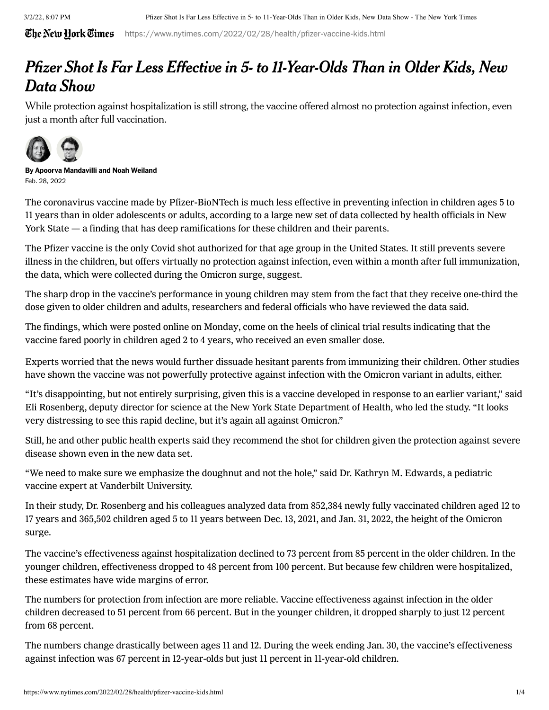3/2/22, 8:07 PM Pfizer Shot Is Far Less Effective in 5- to 11-Year-Olds Than in Older Kids, New Data Show - The New York Times

The New Hork Times https://www.nytimes.com/2022/02/28/health/pfizer-vaccine-kids.html

## Pfizer Shot Is Far Less Effective in 5- to 11-Year-Olds Than in Older Kids, New Data Show

While protection against hospitalization is still strong, the vaccine offered almost no protection against infection, even just a month after full vaccination.



By [Apoorva Mandavilli](https://www.nytimes.com/by/apoorva-mandavilli) and [Noah Weiland](https://www.nytimes.com/by/noah-weiland) Feb. 28, 2022

The coronavirus vaccine made by Pfizer-BioNTech is much less effective in preventing infection in children ages 5 to 11 years than in older adolescents or adults, according to a [large](https://www.medrxiv.org/content/10.1101/2022.02.25.22271454v1) new set of data collected by health officials in New York State — a finding that has deep ramifications for these children and their parents.

The Pfizer vaccine is the only Covid shot authorized for that age group in the United States. It still prevents severe illness in the children, but offers virtually no protection against infection, even within a month after full immunization, the data, which were collected during the Omicron surge, suggest.

The sharp drop in the vaccine's performance in young children may stem from the fact that they receive one-third the dose given to older children and adults, researchers and federal officials who have reviewed the data said.

The findings, which were posted online on [Monday](https://www.medrxiv.org/content/10.1101/2022.02.25.22271454v1), come on the heels of clinical trial results indicating that the vaccine fared poorly in children aged 2 to 4 years, who received an even smaller dose.

Experts worried that the news would further dissuade hesitant parents from immunizing their children. Other studies have shown the vaccine was not powerfully protective against infection with the Omicron variant in adults, either.

"It's disappointing, but not entirely surprising, given this is a vaccine developed in response to an earlier variant," said Eli Rosenberg, deputy director for science at the New York State Department of Health, who led the study. "It looks very distressing to see this rapid decline, but it's again all against Omicron."

Still, he and other public health experts said they recommend the shot for children given the protection against severe disease shown even in the new data set.

"We need to make sure we emphasize the doughnut and not the hole," said Dr. Kathryn M. Edwards, a pediatric vaccine expert at Vanderbilt University.

In their study, Dr. Rosenberg and his colleagues analyzed data from 852,384 newly fully vaccinated children aged 12 to 17 years and 365,502 children aged 5 to 11 years between Dec. 13, 2021, and Jan. 31, 2022, the height of the Omicron surge.

The vaccine's effectiveness against hospitalization declined to 73 percent from 85 percent in the older children. In the younger children, effectiveness dropped to 48 percent from 100 percent. But because few children were hospitalized, these estimates have wide margins of error.

The numbers for protection from infection are more reliable. Vaccine effectiveness against infection in the older children decreased to 51 percent from 66 percent. But in the younger children, it dropped sharply to just 12 percent from 68 percent.

The numbers change drastically between ages 11 and 12. During the week ending Jan. 30, the vaccine's effectiveness against infection was 67 percent in 12-year-olds but just 11 percent in 11-year-old children.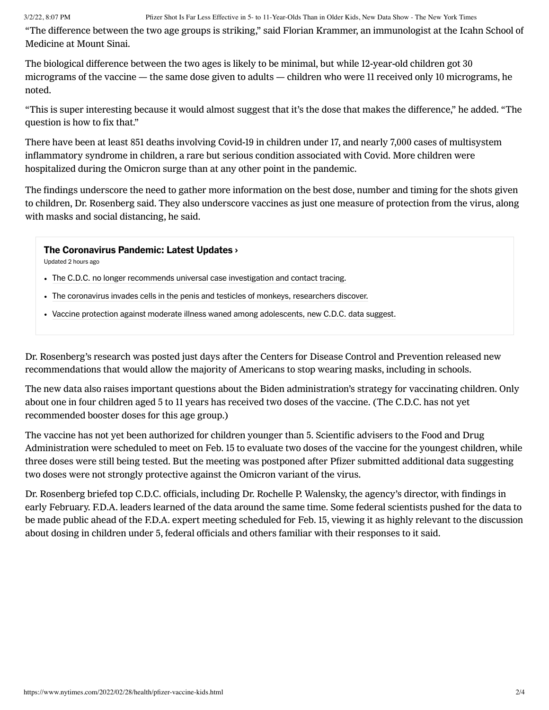"The difference between the two age groups is striking," said Florian Krammer, an immunologist at the Icahn School of Medicine at Mount Sinai.

The biological difference between the two ages is likely to be minimal, but while 12-year-old children got 30 micrograms of the vaccine — the same dose given to adults — children who were 11 received only 10 micrograms, he noted.

"This is super interesting because it would almost suggest that it's the dose that makes the difference," he added. "The question is how to fix that."

There have been at least 851 deaths [involving](https://www.cdc.gov/nchs/nvss/vsrr/covid_weekly/index.htm#SexAndAge) Covid-19 in children under 17, and nearly 7,000 cases of multisystem [inflammatory](https://www.cdc.gov/mis/index.html) syndrome in children, a rare but serious condition associated with Covid. More children were hospitalized during the Omicron surge than at any other point in the pandemic.

The findings underscore the need to gather more information on the best dose, number and timing for the shots given to children, Dr. Rosenberg said. They also underscore vaccines as just one measure of protection from the virus, along with masks and social distancing, he said.

## [The Coronavirus Pandemic: Latest Updates](https://www.nytimes.com/live/2022/03/02/world/covid-19-tests-cases-vaccine?name=styln-coronavirus®ion=MAIN_CONTENT_2&block=storyline_latest_updates_recirc&action=click&pgtype=Article&variant=show&index=1) ›

Updated 2 hours ago

- [The C.D.C. no longer recommends universal case investigation and contact tracing.](https://www.nytimes.com/live/2022/03/02/world/covid-19-tests-cases-vaccine?name=styln-coronavirus®ion=MAIN_CONTENT_2&block=storyline_latest_updates_recirc&action=click&pgtype=Article&variant=show&index=2#cdc-contact-tracing)
- [The coronavirus invades cells in the penis and testicles of monkeys, researchers discover.](https://www.nytimes.com/live/2022/03/02/world/covid-19-tests-cases-vaccine?name=styln-coronavirus®ion=MAIN_CONTENT_2&block=storyline_latest_updates_recirc&action=click&pgtype=Article&variant=show&index=2#covid-erectile-dysfunction)
- [Vaccine protection against moderate illness waned among adolescents, new C.D.C. data suggest.](https://www.nytimes.com/live/2022/03/02/world/covid-19-tests-cases-vaccine?name=styln-coronavirus®ion=MAIN_CONTENT_2&block=storyline_latest_updates_recirc&action=click&pgtype=Article&variant=show&index=2#vaccine-kids-effectiveness-omicron)

Dr. Rosenberg's research was posted just days after the Centers for Disease Control and Prevention released new [recommendations](https://www.nytimes.com/2022/02/25/health/cdc-mask-guidance.html) that would allow the majority of Americans to stop wearing masks, including in schools.

The new data also raises important questions about the Biden administration's strategy for vaccinating children. Only about one in four children aged 5 to 11 years has received two doses of the [vaccine.](https://covid.cdc.gov/covid-data-tracker/#vaccinations_vacc-total-admin-rate-total) (The C.D.C. has not yet recommended booster doses for this age group.)

The vaccine has not yet been authorized for children younger than 5. Scientific advisers to the Food and Drug Administration were scheduled to meet on Feb. 15 to evaluate two doses of the vaccine for the youngest children, while three doses were still being tested. But the meeting was postponed after Pfizer submitted additional data suggesting two doses were not strongly protective against the Omicron variant of the virus.

Dr. Rosenberg briefed top C.D.C. officials, including Dr. Rochelle P. Walensky, the agency's director, with findings in early February. F.D.A. leaders learned of the data around the same time. Some federal scientists pushed for the data to be made public ahead of the F.D.A. expert meeting scheduled for Feb. 15, viewing it as highly relevant to the discussion about dosing in children under 5, federal officials and others familiar with their responses to it said.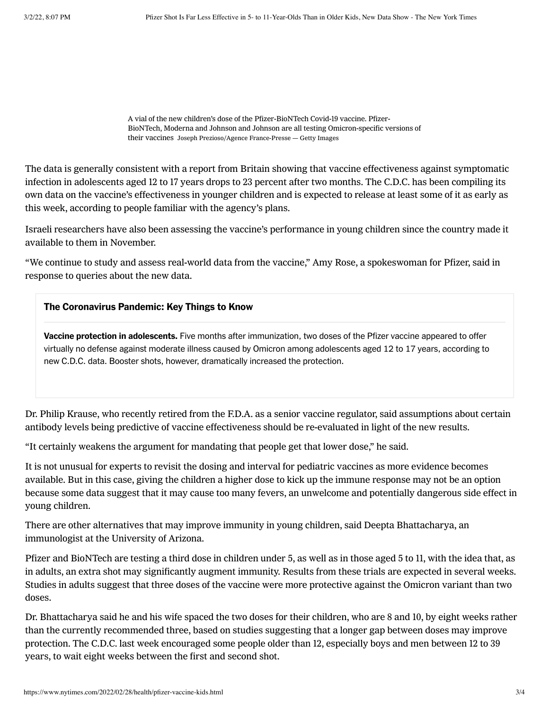A vial of the new children's dose of the Pfizer-BioNTech Covid-19 vaccine. Pfizer-BioNTech, Moderna and Johnson and Johnson are all testing Omicron-specific versions of their vaccines Joseph Prezioso/Agence France-Presse — Getty Images

The data is generally consistent with a report from [Britain](https://www.medrxiv.org/content/10.1101/2021.12.10.21267408v3.full-text) showing that vaccine effectiveness against symptomatic infection in adolescents aged 12 to 17 years drops to 23 percent after two months. The C.D.C. has been compiling its own data on the vaccine's effectiveness in younger children and is expected to release at least some of it as early as this week, according to people familiar with the agency's plans.

Israeli researchers have also been assessing the vaccine's performance in young children since the country made it available to them in November.

"We continue to study and assess real-world data from the vaccine," Amy Rose, a spokeswoman for Pfizer, said in response to queries about the new data.

## The Coronavirus Pandemic: Key Things to Know

Vaccine protection in adolescents. [Five months after immunization, two doses of the Pfizer vaccine appeared to offer](https://www.nytimes.com/live/2022/03/01/world/covid-19-tests-cases-vaccine/vaccine-protection-against-moderate-illness-waned-among-adolescents-new-cdc-data-suggest?action=click&pgtype=Article&state=default&module=styln-coronavirus&variant=show®ion=MAIN_CONTENT_3&block=storyline_levelup_swipe_recirc) virtually no defense against moderate illness caused by Omicron among adolescents aged 12 to 17 years, according to new C.D.C. data. Booster shots, however, dramatically increased the protection.

Dr. Philip Krause, who recently retired from the F.D.A. as a senior vaccine regulator, said assumptions about certain antibody levels being predictive of vaccine effectiveness should be re-evaluated in light of the new results.

"It certainly weakens the argument for mandating that people get that lower dose," he said.

It is not unusual for experts to revisit the dosing and interval for pediatric vaccines as more evidence becomes available. But in this case, giving the children a higher dose to kick up the immune response may not be an option because some data suggest that it may cause too many fevers, an unwelcome and potentially dangerous side effect in young children.

There are other alternatives that may improve immunity in young children, said Deepta Bhattacharya, an immunologist at the University of Arizona.

Pfizer and BioNTech are testing a third dose in children under 5, as well as in those aged 5 to 11, with the idea that, as in adults, an extra shot may significantly augment immunity. Results from these trials are expected in several weeks. Studies in adults suggest that three doses of the vaccine were more protective against the Omicron variant than two doses.

Dr. Bhattacharya said he and his wife spaced the two doses for their children, who are 8 and 10, by eight weeks rather than the currently recommended three, based on studies suggesting that a longer gap between doses may improve protection. The C.D.C. last week [encouraged](https://www.nytimes.com/live/2022/02/23/world/covid-19-tests-cases-vaccine#pfizer-moderna-vaccine-dose-men) some people older than 12, especially boys and men between 12 to 39 years, to wait eight weeks between the first and second shot.